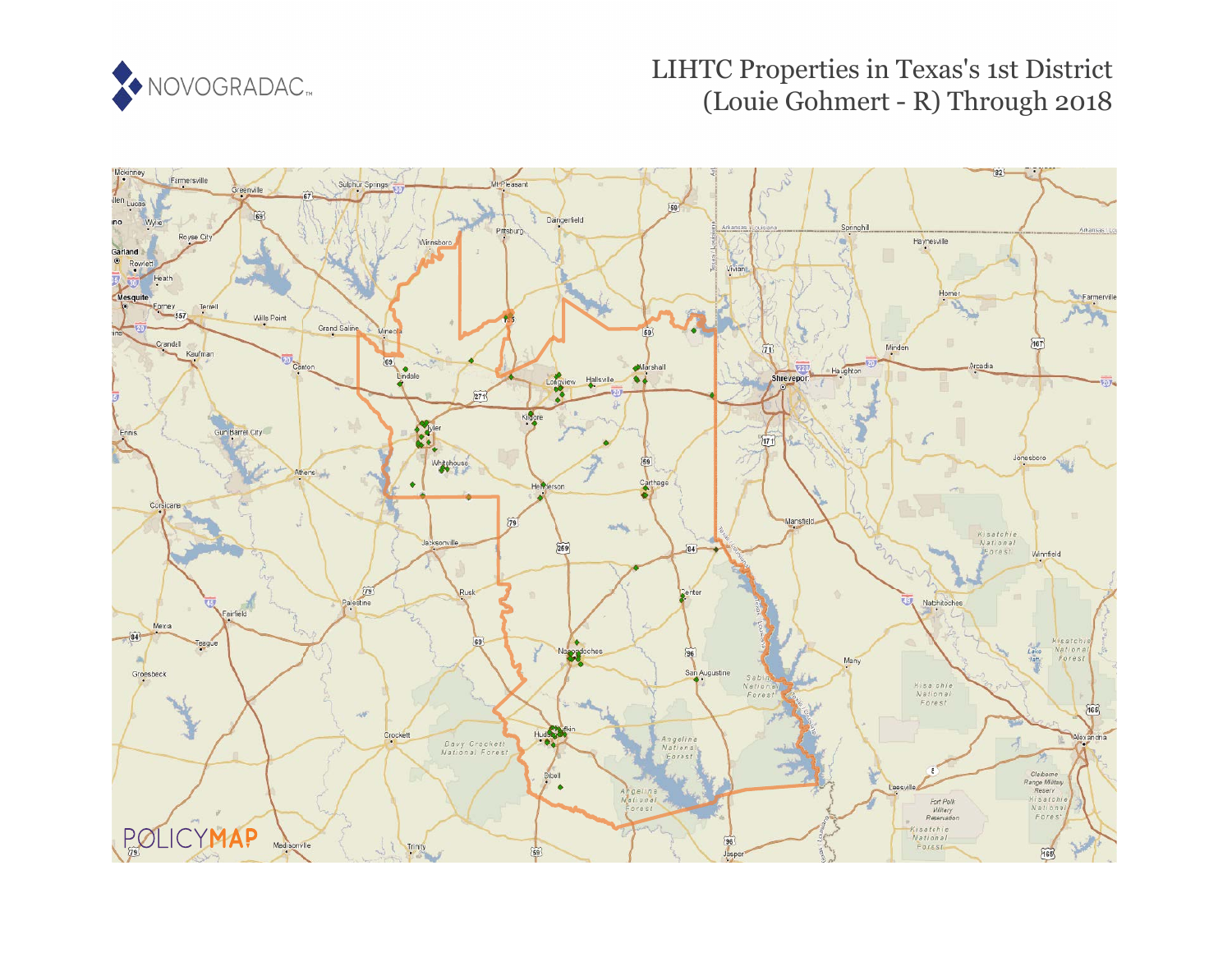

# LIHTC Properties in Texas's 1st District (Louie Gohmert - R) Through 2018

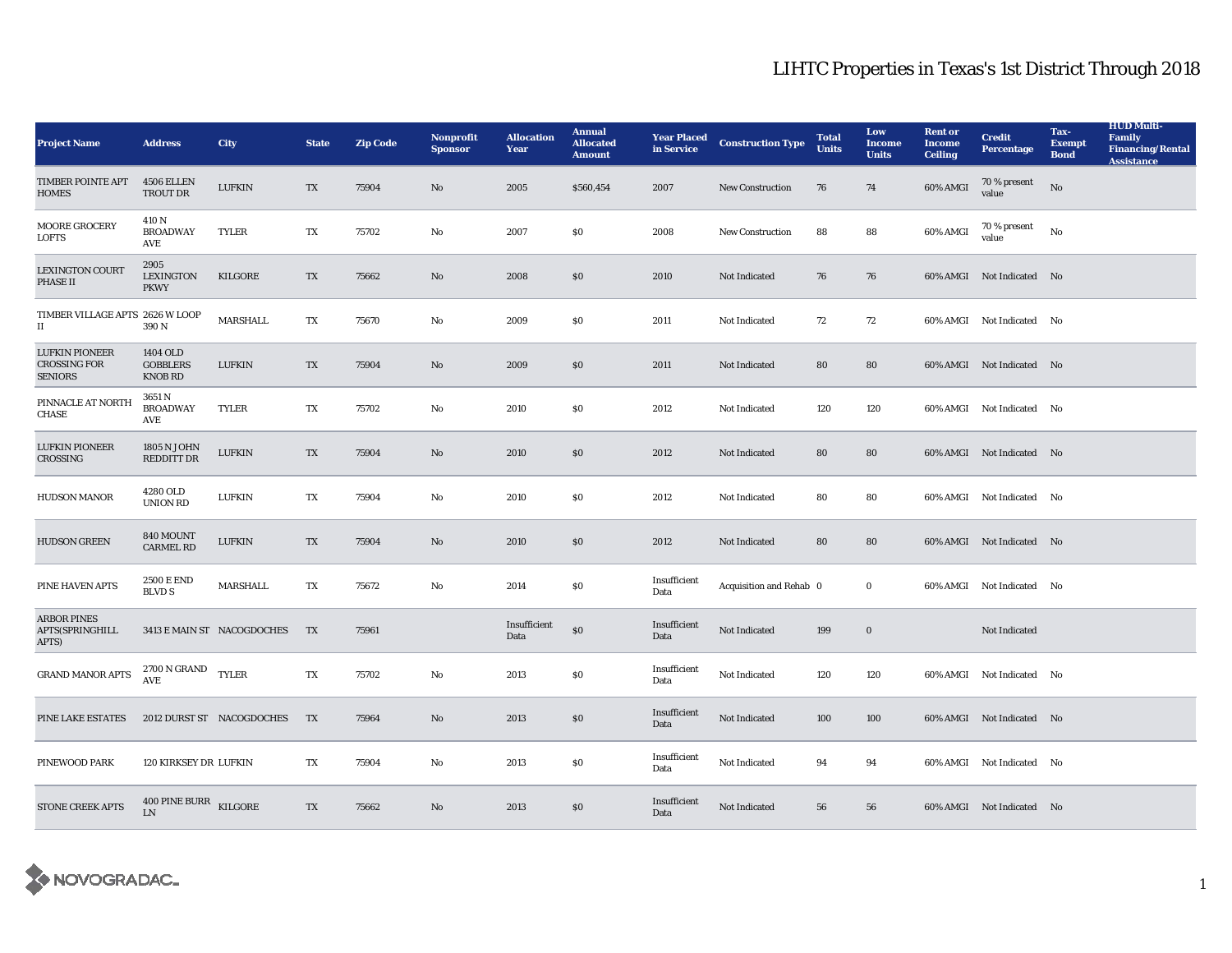| <b>Project Name</b>                                            | <b>Address</b>                                | <b>City</b>                | <b>State</b> | <b>Zip Code</b> | <b>Nonprofit</b><br><b>Sponsor</b> | <b>Allocation</b><br><b>Year</b> | <b>Annual</b><br><b>Allocated</b><br><b>Amount</b> | <b>Year Placed</b><br>in Service | <b>Construction Type</b> | <b>Total</b><br><b>Units</b> | Low<br><b>Income</b><br><b>Units</b> | <b>Rent or</b><br><b>Income</b><br><b>Ceiling</b> | <b>Credit</b><br><b>Percentage</b> | Tax-<br><b>Exempt</b><br><b>Bond</b> | <b>HUD Multi-</b><br>Family<br><b>Financing/Rental</b><br><b>Assistance</b> |
|----------------------------------------------------------------|-----------------------------------------------|----------------------------|--------------|-----------------|------------------------------------|----------------------------------|----------------------------------------------------|----------------------------------|--------------------------|------------------------------|--------------------------------------|---------------------------------------------------|------------------------------------|--------------------------------------|-----------------------------------------------------------------------------|
| <b>TIMBER POINTE APT</b><br><b>HOMES</b>                       | 4506 ELLEN<br>TROUT DR                        | <b>LUFKIN</b>              | TX           | 75904           | No                                 | 2005                             | \$560,454                                          | 2007                             | <b>New Construction</b>  | 76                           | 74                                   | 60% AMGI                                          | 70 % present<br>value              | $\mathbf{N}\mathbf{o}$               |                                                                             |
| MOORE GROCERY<br><b>LOFTS</b>                                  | 410 N<br><b>BROADWAY</b><br>AVE               | <b>TYLER</b>               | TX           | 75702           | No                                 | 2007                             | $\$0$                                              | 2008                             | New Construction         | 88                           | 88                                   | 60% AMGI                                          | 70 % present<br>value              | $\rm No$                             |                                                                             |
| <b>LEXINGTON COURT</b><br>PHASE II                             | 2905<br><b>LEXINGTON</b><br><b>PKWY</b>       | KILGORE                    | TX           | 75662           | No                                 | 2008                             | \$0                                                | 2010                             | Not Indicated            | 76                           | 76                                   |                                                   | 60% AMGI Not Indicated No          |                                      |                                                                             |
| TIMBER VILLAGE APTS 2626 W LOOP<br>П                           | 390 N                                         | MARSHALL                   | TX           | 75670           | No                                 | 2009                             | \$0                                                | 2011                             | Not Indicated            | 72                           | 72                                   |                                                   | 60% AMGI Not Indicated No          |                                      |                                                                             |
| <b>LUFKIN PIONEER</b><br><b>CROSSING FOR</b><br><b>SENIORS</b> | 1404 OLD<br><b>GOBBLERS</b><br><b>KNOB RD</b> | <b>LUFKIN</b>              | TX           | 75904           | No                                 | 2009                             | \$0                                                | 2011                             | Not Indicated            | 80                           | 80                                   |                                                   | 60% AMGI Not Indicated No          |                                      |                                                                             |
| PINNACLE AT NORTH<br><b>CHASE</b>                              | 3651 N<br><b>BROADWAY</b><br>AVE              | <b>TYLER</b>               | TX           | 75702           | No                                 | 2010                             | \$0                                                | 2012                             | Not Indicated            | 120                          | 120                                  |                                                   | 60% AMGI Not Indicated No          |                                      |                                                                             |
| <b>LUFKIN PIONEER</b><br><b>CROSSING</b>                       | 1805 N JOHN<br><b>REDDITT DR</b>              | <b>LUFKIN</b>              | TX           | 75904           | No                                 | 2010                             | \$0                                                | 2012                             | Not Indicated            | 80                           | 80                                   |                                                   | 60% AMGI Not Indicated No          |                                      |                                                                             |
| <b>HUDSON MANOR</b>                                            | 4280 OLD<br><b>UNION RD</b>                   | <b>LUFKIN</b>              | TX           | 75904           | No                                 | 2010                             | \$0                                                | 2012                             | Not Indicated            | 80                           | 80                                   |                                                   | 60% AMGI Not Indicated No          |                                      |                                                                             |
| <b>HUDSON GREEN</b>                                            | 840 MOUNT<br><b>CARMEL RD</b>                 | <b>LUFKIN</b>              | TX           | 75904           | No                                 | 2010                             | \$0                                                | 2012                             | Not Indicated            | 80                           | 80                                   |                                                   | 60% AMGI Not Indicated No          |                                      |                                                                             |
| PINE HAVEN APTS                                                | <b>2500 E END</b><br><b>BLVD S</b>            | MARSHALL                   | TX           | 75672           | No                                 | 2014                             | \$0                                                | Insufficient<br>Data             | Acquisition and Rehab 0  |                              | $\bf{0}$                             |                                                   | 60% AMGI Not Indicated No          |                                      |                                                                             |
| <b>ARBOR PINES</b><br>APTS(SPRINGHILL<br>APTS)                 |                                               | 3413 E MAIN ST NACOGDOCHES | TX           | 75961           |                                    | Insufficient<br>Data             | $\$0$                                              | Insufficient<br>Data             | Not Indicated            | 199                          | $\bf{0}$                             |                                                   | Not Indicated                      |                                      |                                                                             |
| <b>GRAND MANOR APTS</b>                                        | $2700$ N GRAND TYLER<br><b>AVE</b>            |                            | TX           | 75702           | No                                 | 2013                             | \$0                                                | Insufficient<br>Data             | Not Indicated            | 120                          | 120                                  |                                                   | 60% AMGI Not Indicated No          |                                      |                                                                             |
| PINE LAKE ESTATES                                              |                                               | 2012 DURST ST NACOGDOCHES  | TX           | 75964           | No                                 | 2013                             | \$0                                                | Insufficient<br>Data             | Not Indicated            | 100                          | 100                                  |                                                   | 60% AMGI Not Indicated No          |                                      |                                                                             |
| PINEWOOD PARK                                                  | 120 KIRKSEY DR LUFKIN                         |                            | TX           | 75904           | No                                 | 2013                             | \$0                                                | Insufficient<br>Data             | Not Indicated            | 94                           | 94                                   |                                                   | 60% AMGI Not Indicated No          |                                      |                                                                             |
| <b>STONE CREEK APTS</b>                                        | 400 PINE BURR<br><b>LN</b>                    | KILGORE                    | TX           | 75662           | No                                 | 2013                             | \$0                                                | Insufficient<br>Data             | Not Indicated            | 56                           | 56                                   |                                                   | 60% AMGI Not Indicated No          |                                      |                                                                             |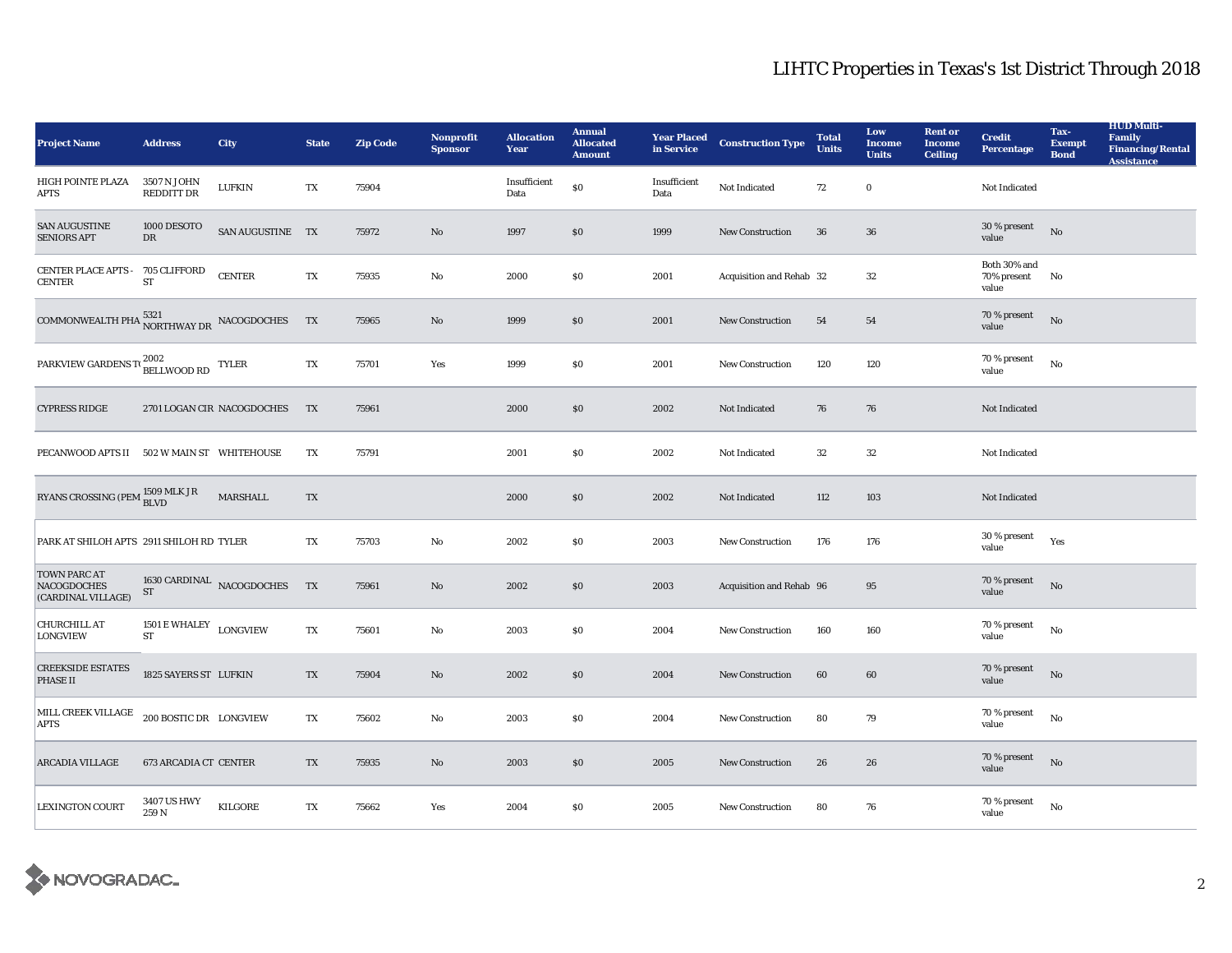| <b>Project Name</b>                                               | <b>Address</b>             | <b>City</b>                | <b>State</b> | <b>Zip Code</b> | Nonprofit<br><b>Sponsor</b> | <b>Allocation</b><br>Year | <b>Annual</b><br><b>Allocated</b><br><b>Amount</b> | <b>Year Placed</b><br>in Service | <b>Construction Type</b> | <b>Total</b><br><b>Units</b> | Low<br><b>Income</b><br><b>Units</b> | <b>Rent or</b><br><b>Income</b><br><b>Ceiling</b> | <b>Credit</b><br><b>Percentage</b>   | Tax-<br><b>Exempt</b><br><b>Bond</b> | <b>HUD Multi-</b><br>Family<br><b>Financing/Rental</b><br><b>Assistance</b> |
|-------------------------------------------------------------------|----------------------------|----------------------------|--------------|-----------------|-----------------------------|---------------------------|----------------------------------------------------|----------------------------------|--------------------------|------------------------------|--------------------------------------|---------------------------------------------------|--------------------------------------|--------------------------------------|-----------------------------------------------------------------------------|
| HIGH POINTE PLAZA<br><b>APTS</b>                                  | 3507 N JOHN<br>REDDITT DR  | <b>LUFKIN</b>              | TX           | 75904           |                             | Insufficient<br>Data      | $\$0$                                              | Insufficient<br>Data             | Not Indicated            | 72                           | $\bf{0}$                             |                                                   | Not Indicated                        |                                      |                                                                             |
| <b>SAN AUGUSTINE</b><br><b>SENIORS APT</b>                        | 1000 DESOTO<br>DR          | SAN AUGUSTINE TX           |              | 75972           | No                          | 1997                      | $\$0$                                              | 1999                             | New Construction         | ${\bf 36}$                   | 36                                   |                                                   | 30 % present<br>value                | $\rm No$                             |                                                                             |
| CENTER PLACE APTS - 705 CLIFFORD<br><b>CENTER</b>                 | ${\rm ST}$                 | <b>CENTER</b>              | TX           | 75935           | No                          | 2000                      | \$0                                                | 2001                             | Acquisition and Rehab 32 |                              | $32\,$                               |                                                   | Both 30% and<br>70% present<br>value | No                                   |                                                                             |
| COMMONWEALTH PHA $\overset{5321}{\text{NORTHWAY DR}}$ NACOGDOCHES |                            |                            | <b>TX</b>    | 75965           | No                          | 1999                      | \$0                                                | 2001                             | <b>New Construction</b>  | 54                           | 54                                   |                                                   | 70 % present<br>value                | No                                   |                                                                             |
| PARKVIEW GARDENS TO 2002                                          |                            | TYLER                      | TX           | 75701           | Yes                         | 1999                      | \$0                                                | 2001                             | <b>New Construction</b>  | 120                          | 120                                  |                                                   | 70 % present<br>value                | No                                   |                                                                             |
| <b>CYPRESS RIDGE</b>                                              |                            | 2701 LOGAN CIR NACOGDOCHES | TX           | 75961           |                             | 2000                      | $\$0$                                              | 2002                             | Not Indicated            | 76                           | 76                                   |                                                   | Not Indicated                        |                                      |                                                                             |
| PECANWOOD APTS II 502 W MAIN ST WHITEHOUSE                        |                            |                            | TX           | 75791           |                             | 2001                      | S <sub>0</sub>                                     | 2002                             | Not Indicated            | 32                           | 32                                   |                                                   | Not Indicated                        |                                      |                                                                             |
| RYANS CROSSING (PEM $^{1509\,\rm MLK\, \rm JR} _{\rm BLVD}$       |                            | MARSHALL                   | TX           |                 |                             | 2000                      | \$0                                                | 2002                             | Not Indicated            | 112                          | 103                                  |                                                   | Not Indicated                        |                                      |                                                                             |
| PARK AT SHILOH APTS 2911 SHILOH RD TYLER                          |                            |                            | TX           | 75703           | No                          | 2002                      | \$0                                                | 2003                             | New Construction         | 176                          | 176                                  |                                                   | $30\,\%$ present<br>value            | Yes                                  |                                                                             |
| <b>TOWN PARC AT</b><br><b>NACOGDOCHES</b><br>(CARDINAL VILLAGE)   | ${\rm ST}$                 | 1630 CARDINAL NACOGDOCHES  | TX           | 75961           | No                          | 2002                      | \$0                                                | 2003                             | Acquisition and Rehab 96 |                              | 95                                   |                                                   | 70 % present<br>value                | No                                   |                                                                             |
| <b>CHURCHILL AT</b><br><b>LONGVIEW</b>                            | 1501 E WHALEY<br><b>ST</b> | <b>LONGVIEW</b>            | TX           | 75601           | No                          | 2003                      | \$0                                                | 2004                             | <b>New Construction</b>  | 160                          | 160                                  |                                                   | 70 % present<br>value                | No                                   |                                                                             |
| <b>CREEKSIDE ESTATES</b><br><b>PHASE II</b>                       | 1825 SAYERS ST LUFKIN      |                            | TX           | 75904           | No                          | 2002                      | \$0                                                | 2004                             | New Construction         | 60                           | 60                                   |                                                   | 70 % present<br>value                | No                                   |                                                                             |
| MILL CREEK VILLAGE<br><b>APTS</b>                                 | 200 BOSTIC DR LONGVIEW     |                            | TX           | 75602           | No                          | 2003                      | \$0                                                | 2004                             | New Construction         | 80                           | 79                                   |                                                   | 70 % present<br>value                | No                                   |                                                                             |
| <b>ARCADIA VILLAGE</b>                                            | 673 ARCADIA CT CENTER      |                            | TX           | 75935           | No                          | 2003                      | $\$0$                                              | 2005                             | New Construction         | 26                           | 26                                   |                                                   | 70 % present<br>value                | $\rm No$                             |                                                                             |
| <b>LEXINGTON COURT</b>                                            | 3407 US HWY<br>259N        | <b>KILGORE</b>             | TX           | 75662           | Yes                         | 2004                      | \$0                                                | 2005                             | <b>New Construction</b>  | 80                           | 76                                   |                                                   | 70 % present<br>value                | No                                   |                                                                             |

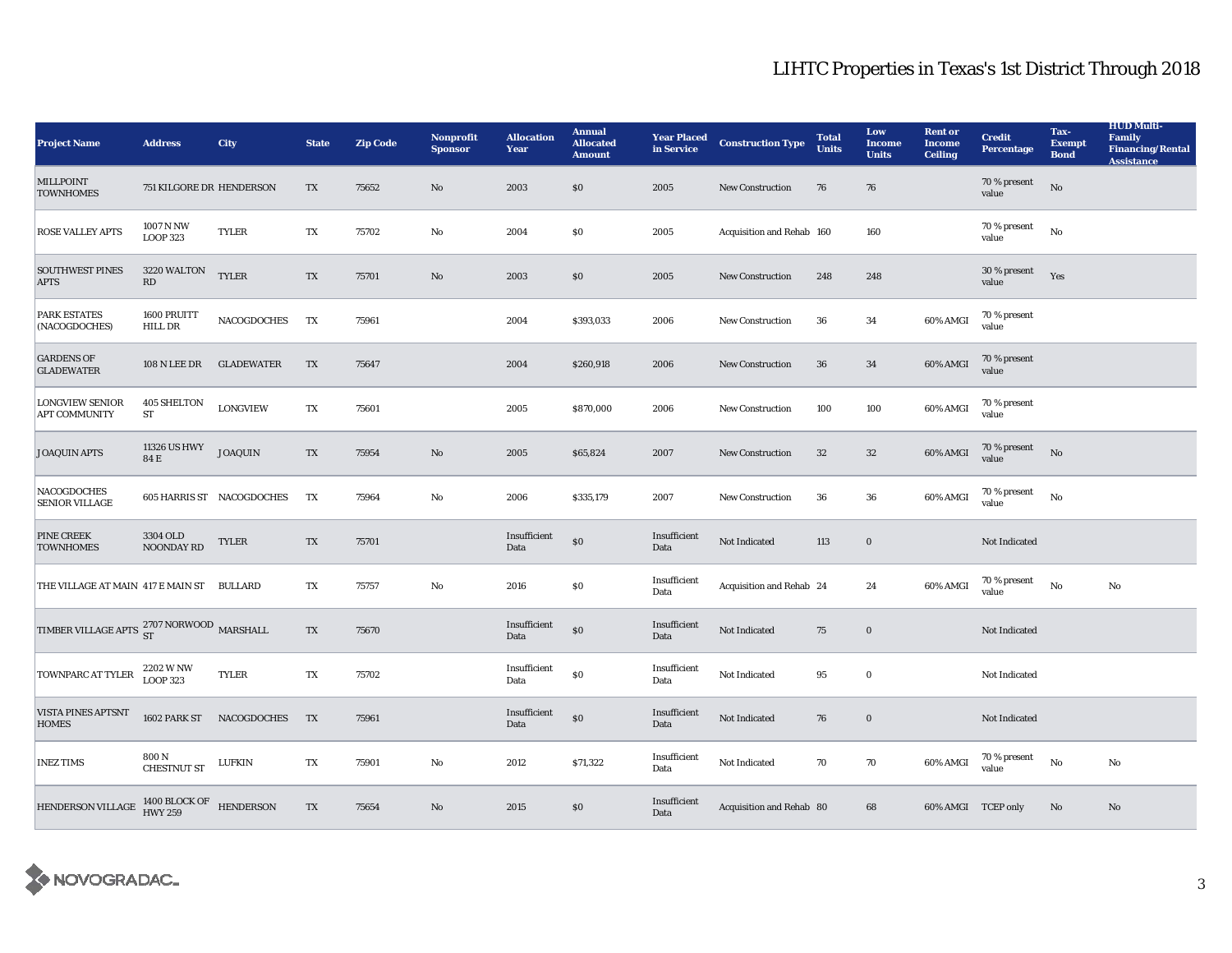| <b>Project Name</b>                                        | <b>Address</b>                   | City                      | <b>State</b> | <b>Zip Code</b> | <b>Nonprofit</b><br><b>Sponsor</b> | <b>Allocation</b><br>Year | <b>Annual</b><br><b>Allocated</b><br><b>Amount</b> | <b>Year Placed</b><br>in Service | <b>Construction Type</b>  | <b>Total</b><br><b>Units</b> | Low<br><b>Income</b><br><b>Units</b> | <b>Rent or</b><br><b>Income</b><br><b>Ceiling</b> | <b>Credit</b><br><b>Percentage</b> | Tax-<br><b>Exempt</b><br><b>Bond</b> | <b>HUD Multi-</b><br>Family<br><b>Financing/Rental</b><br><b>Assistance</b> |
|------------------------------------------------------------|----------------------------------|---------------------------|--------------|-----------------|------------------------------------|---------------------------|----------------------------------------------------|----------------------------------|---------------------------|------------------------------|--------------------------------------|---------------------------------------------------|------------------------------------|--------------------------------------|-----------------------------------------------------------------------------|
| MILLPOINT<br><b>TOWNHOMES</b>                              | 751 KILGORE DR HENDERSON         |                           | TX           | 75652           | No                                 | 2003                      | \$0                                                | 2005                             | New Construction          | 76                           | 76                                   |                                                   | 70 % present<br>value              | $\mathbf{N}\mathbf{o}$               |                                                                             |
| <b>ROSE VALLEY APTS</b>                                    | 1007 N NW<br><b>LOOP 323</b>     | <b>TYLER</b>              | TX           | 75702           | No                                 | 2004                      | \$0                                                | 2005                             | Acquisition and Rehab 160 |                              | 160                                  |                                                   | 70 % present<br>value              | $\rm No$                             |                                                                             |
| <b>SOUTHWEST PINES</b><br><b>APTS</b>                      | 3220 WALTON<br>RD                | <b>TYLER</b>              | TX           | 75701           | No                                 | 2003                      | \$0                                                | 2005                             | <b>New Construction</b>   | 248                          | 248                                  |                                                   | 30 % present<br>value              | Yes                                  |                                                                             |
| <b>PARK ESTATES</b><br>(NACOGDOCHES)                       | 1600 PRUITT<br>HILL DR           | NACOGDOCHES               | TX           | 75961           |                                    | 2004                      | \$393,033                                          | 2006                             | New Construction          | 36                           | 34                                   | 60% AMGI                                          | 70 % present<br>value              |                                      |                                                                             |
| <b>GARDENS OF</b><br><b>GLADEWATER</b>                     | <b>108 N LEE DR</b>              | <b>GLADEWATER</b>         | TX           | 75647           |                                    | 2004                      | \$260,918                                          | 2006                             | New Construction          | 36                           | 34                                   | 60% AMGI                                          | 70 % present<br>value              |                                      |                                                                             |
| <b>LONGVIEW SENIOR</b><br><b>APT COMMUNITY</b>             | <b>405 SHELTON</b><br>${\rm ST}$ | <b>LONGVIEW</b>           | TX           | 75601           |                                    | 2005                      | \$870,000                                          | 2006                             | New Construction          | 100                          | 100                                  | 60% AMGI                                          | 70 % present<br>value              |                                      |                                                                             |
| <b>JOAQUIN APTS</b>                                        | 11326 US HWY<br>84 E             | <b>JOAQUIN</b>            | TX           | 75954           | No                                 | 2005                      | \$65,824                                           | 2007                             | <b>New Construction</b>   | 32                           | 32                                   | 60% AMGI                                          | 70 % present<br>value              | <b>No</b>                            |                                                                             |
| <b>NACOGDOCHES</b><br><b>SENIOR VILLAGE</b>                |                                  | 605 HARRIS ST NACOGDOCHES | TX           | 75964           | No                                 | 2006                      | \$335,179                                          | 2007                             | <b>New Construction</b>   | 36                           | ${\bf 36}$                           | 60% AMGI                                          | 70 % present<br>value              | $\rm No$                             |                                                                             |
| <b>PINE CREEK</b><br><b>TOWNHOMES</b>                      | 3304 OLD<br>NOONDAY RD           | <b>TYLER</b>              | TX           | 75701           |                                    | Insufficient<br>Data      | \$0                                                | Insufficient<br>Data             | Not Indicated             | 113                          | $\bf{0}$                             |                                                   | Not Indicated                      |                                      |                                                                             |
| THE VILLAGE AT MAIN 417 E MAIN ST BULLARD                  |                                  |                           | TX           | 75757           | No                                 | 2016                      | \$0                                                | Insufficient<br>Data             | Acquisition and Rehab 24  |                              | 24                                   | 60% AMGI                                          | 70 % present<br>value              | $\rm No$                             | No                                                                          |
| TIMBER VILLAGE APTS $\frac{2707}{\rm ST}$ NORWOOD MARSHALL |                                  |                           | TX           | 75670           |                                    | Insufficient<br>Data      | \$0                                                | Insufficient<br>Data             | Not Indicated             | 75                           | $\mathbf 0$                          |                                                   | Not Indicated                      |                                      |                                                                             |
| TOWNPARC AT TYLER                                          | 2202 W NW<br>LOOP 323            | <b>TYLER</b>              | TX           | 75702           |                                    | Insufficient<br>Data      | \$0                                                | Insufficient<br>Data             | Not Indicated             | 95                           | $\mathbf{0}$                         |                                                   | Not Indicated                      |                                      |                                                                             |
| <b>VISTA PINES APTSNT</b><br><b>HOMES</b>                  | 1602 PARK ST                     | NACOGDOCHES               | <b>TX</b>    | 75961           |                                    | Insufficient<br>Data      | \$0                                                | Insufficient<br>Data             | Not Indicated             | 76                           | $\bf{0}$                             |                                                   | Not Indicated                      |                                      |                                                                             |
| <b>INEZ TIMS</b>                                           | 800 N<br><b>CHESTNUT ST</b>      | LUFKIN                    | TX           | 75901           | No                                 | 2012                      | \$71,322                                           | Insufficient<br>Data             | Not Indicated             | 70                           | 70                                   | 60% AMGI                                          | 70 % present<br>value              | No                                   | No                                                                          |
| HENDERSON VILLAGE 1400 BLOCK OF HENDERSON                  |                                  |                           | TX           | 75654           | No                                 | 2015                      | \$0                                                | Insufficient<br>Data             | Acquisition and Rehab 80  |                              | 68                                   |                                                   | 60% AMGI TCEP only                 | No                                   | No                                                                          |

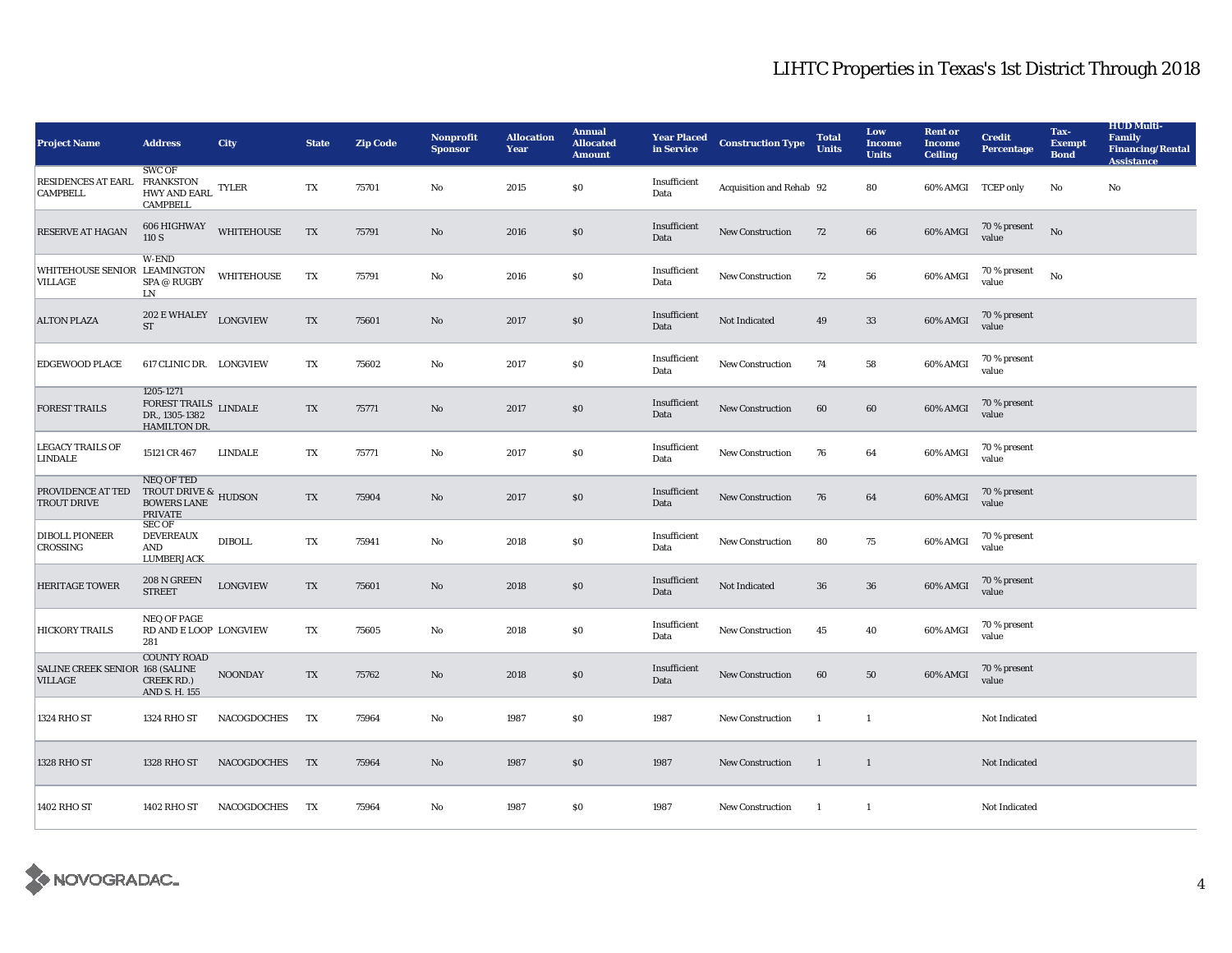| <b>Project Name</b>                               | <b>Address</b>                                                                                                                       | <b>City</b>        | <b>State</b> | <b>Zip Code</b> | <b>Nonprofit</b><br><b>Sponsor</b> | <b>Allocation</b><br>Year | <b>Annual</b><br><b>Allocated</b><br><b>Amount</b> | <b>Year Placed</b><br>in Service | <b>Construction Type</b> | <b>Total</b><br><b>Units</b> | Low<br><b>Income</b><br><b>Units</b> | <b>Rent or</b><br><b>Income</b><br><b>Ceiling</b> | <b>Credit</b><br>Percentage | Tax-<br><b>Exempt</b><br><b>Bond</b> | <b>HUD Multi-</b><br>Family<br><b>Financing/Rental</b><br><b>Assistance</b> |
|---------------------------------------------------|--------------------------------------------------------------------------------------------------------------------------------------|--------------------|--------------|-----------------|------------------------------------|---------------------------|----------------------------------------------------|----------------------------------|--------------------------|------------------------------|--------------------------------------|---------------------------------------------------|-----------------------------|--------------------------------------|-----------------------------------------------------------------------------|
| RESIDENCES AT EARL FRANKSTON<br><b>CAMPBELL</b>   | <b>SWC OF</b><br><b>HWY AND EARL</b><br><b>CAMPBELL</b>                                                                              | <b>TYLER</b>       | TX           | 75701           | No                                 | 2015                      | \$0                                                | Insufficient<br>Data             | Acquisition and Rehab 92 |                              | 80                                   |                                                   | 60% AMGI TCEP only          | No                                   | No                                                                          |
| <b>RESERVE AT HAGAN</b>                           | 606 HIGHWAY<br>110 S                                                                                                                 | <b>WHITEHOUSE</b>  | TX           | 75791           | No                                 | 2016                      | $\$0$                                              | Insufficient<br>Data             | <b>New Construction</b>  | 72                           | 66                                   | 60% AMGI                                          | 70 % present<br>value       | No                                   |                                                                             |
| WHITEHOUSE SENIOR LEAMINGTON<br>VILLAGE           | W-END<br>SPA @ RUGBY<br>LN                                                                                                           | <b>WHITEHOUSE</b>  | TX           | 75791           | No                                 | 2016                      | \$0                                                | Insufficient<br>Data             | New Construction         | 72                           | 56                                   | 60% AMGI                                          | 70 % present<br>value       | No                                   |                                                                             |
| <b>ALTON PLAZA</b>                                | $202$ E WHALEY $\quad$ LONGVIEW<br><b>ST</b>                                                                                         |                    | TX           | 75601           | No                                 | 2017                      | \$0                                                | Insufficient<br>Data             | Not Indicated            | 49                           | 33                                   | 60% AMGI                                          | 70 % present<br>value       |                                      |                                                                             |
| <b>EDGEWOOD PLACE</b>                             | 617 CLINIC DR. LONGVIEW                                                                                                              |                    | TX           | 75602           | No                                 | 2017                      | \$0                                                | Insufficient<br>Data             | New Construction         | 74                           | 58                                   | 60% AMGI                                          | 70 % present<br>value       |                                      |                                                                             |
| <b>FOREST TRAILS</b>                              | 1205-1271<br>$\begin{array}{ll} \textsc{FOREST TRILS} \\ \textsc{DR.,}\ 1305\text{-}1382 \end{array} \text{LINDALE}$<br>HAMILTON DR. |                    | TX           | 75771           | No                                 | 2017                      | \$0                                                | Insufficient<br>Data             | <b>New Construction</b>  | 60                           | 60                                   | 60% AMGI                                          | 70 % present<br>value       |                                      |                                                                             |
| <b>LEGACY TRAILS OF</b><br><b>LINDALE</b>         | 15121 CR 467                                                                                                                         | <b>LINDALE</b>     | TX           | 75771           | No                                 | 2017                      | \$0                                                | Insufficient<br>Data             | New Construction         | 76                           | 64                                   | 60% AMGI                                          | 70 % present<br>value       |                                      |                                                                             |
| PROVIDENCE AT TED<br><b>TROUT DRIVE</b>           | <b>NEQ OF TED</b><br>TROUT DRIVE & HUDSON<br><b>BOWERS LANE</b><br><b>PRIVATE</b>                                                    |                    | TX           | 75904           | $\rm No$                           | 2017                      | \$0\$                                              | Insufficient<br>Data             | New Construction         | 76                           | 64                                   | 60% AMGI                                          | 70 % present<br>value       |                                      |                                                                             |
| <b>DIBOLL PIONEER</b><br>CROSSING                 | <b>SEC OF</b><br>DEVEREAUX<br>AND<br><b>LUMBERJACK</b>                                                                               | <b>DIBOLL</b>      | TX           | 75941           | No                                 | 2018                      | \$0                                                | Insufficient<br>Data             | New Construction         | 80                           | 75                                   | 60% AMGI                                          | 70 % present<br>value       |                                      |                                                                             |
| <b>HERITAGE TOWER</b>                             | 208 N GREEN<br><b>STREET</b>                                                                                                         | <b>LONGVIEW</b>    | TX           | 75601           | No                                 | 2018                      | \$0                                                | Insufficient<br>Data             | Not Indicated            | 36                           | 36                                   | 60% AMGI                                          | 70 % present<br>value       |                                      |                                                                             |
| <b>HICKORY TRAILS</b>                             | <b>NEQ OF PAGE</b><br>RD AND E LOOP LONGVIEW<br>281                                                                                  |                    | TX           | 75605           | No                                 | 2018                      | \$0                                                | Insufficient<br>Data             | <b>New Construction</b>  | 45                           | 40                                   | 60% AMGI                                          | 70 % present<br>value       |                                      |                                                                             |
| <b>SALINE CREEK SENIOR 168 (SALINE</b><br>VILLAGE | <b>COUNTY ROAD</b><br>CREEK RD.)<br>AND S. H. 155                                                                                    | <b>NOONDAY</b>     | TX           | 75762           | No                                 | 2018                      | \$0                                                | Insufficient<br>Data             | <b>New Construction</b>  | 60                           | 50                                   | 60% AMGI                                          | 70 % present<br>value       |                                      |                                                                             |
| 1324 RHO ST                                       | 1324 RHO ST                                                                                                                          | NACOGDOCHES        | TX           | 75964           | No                                 | 1987                      | \$0                                                | 1987                             | New Construction         | 1                            | $\mathbf{1}$                         |                                                   | Not Indicated               |                                      |                                                                             |
| 1328 RHO ST                                       | 1328 RHO ST                                                                                                                          | NACOGDOCHES        | TX           | 75964           | No                                 | 1987                      | \$0                                                | 1987                             | <b>New Construction</b>  | $\mathbf{1}$                 | $\overline{1}$                       |                                                   | <b>Not Indicated</b>        |                                      |                                                                             |
| 1402 RHO ST                                       | 1402 RHO ST                                                                                                                          | <b>NACOGDOCHES</b> | TX           | 75964           | No                                 | 1987                      | \$0                                                | 1987                             | <b>New Construction</b>  | -1                           | $\mathbf{1}$                         |                                                   | Not Indicated               |                                      |                                                                             |

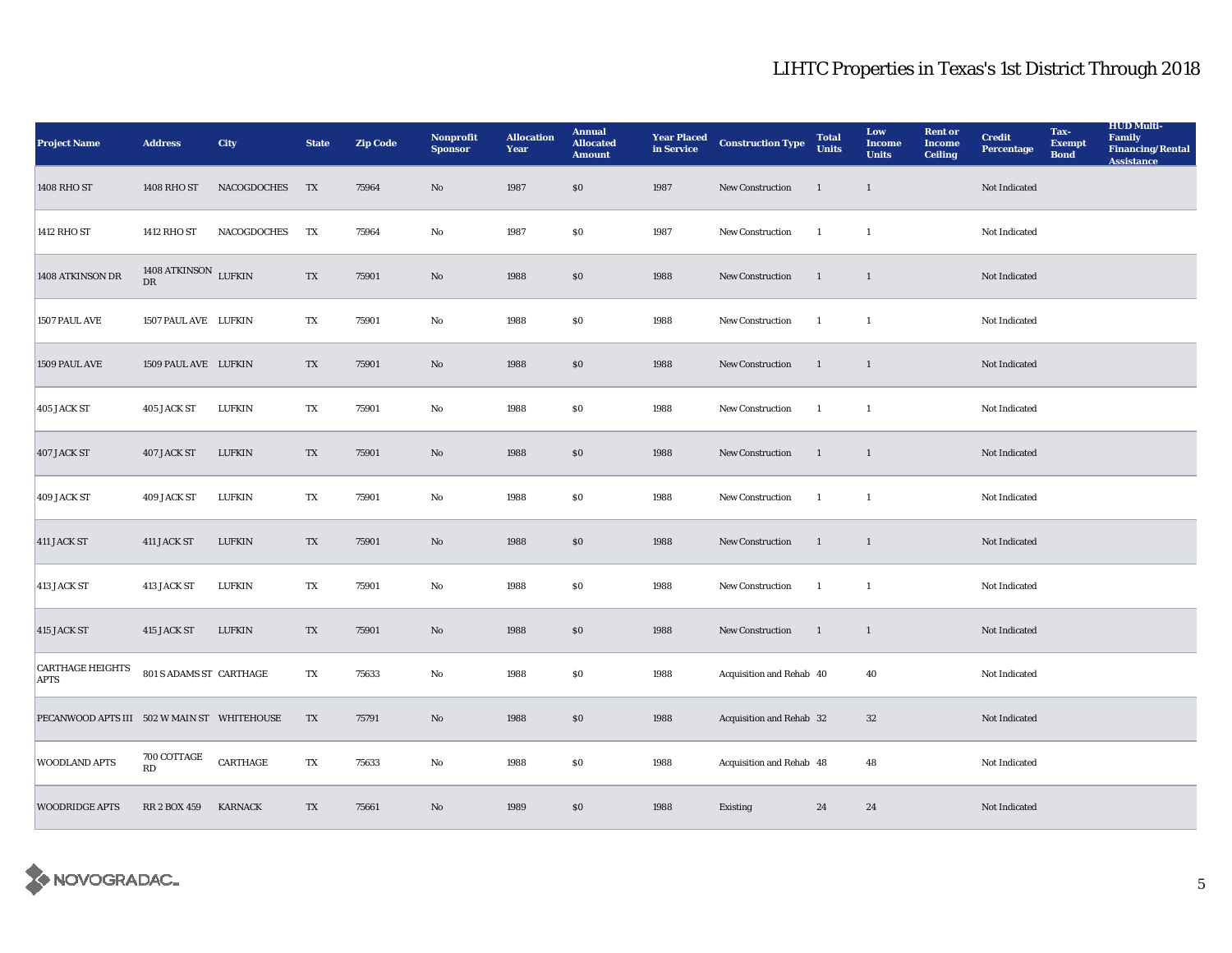| <b>Project Name</b>                         | <b>Address</b>             | <b>City</b>    | <b>State</b> | <b>Zip Code</b> | <b>Nonprofit</b><br><b>Sponsor</b> | <b>Allocation</b><br>Year | <b>Annual</b><br><b>Allocated</b><br><b>Amount</b> | <b>Year Placed</b><br>in Service | <b>Construction Type</b> | <b>Total</b><br><b>Units</b> | Low<br><b>Income</b><br><b>Units</b> | <b>Rent or</b><br><b>Income</b><br><b>Ceiling</b> | <b>Credit</b><br><b>Percentage</b> | Tax-<br><b>Exempt</b><br><b>Bond</b> | <b>HUD Multi-</b><br><b>Family</b><br><b>Financing/Rental</b><br><b>Assistance</b> |
|---------------------------------------------|----------------------------|----------------|--------------|-----------------|------------------------------------|---------------------------|----------------------------------------------------|----------------------------------|--------------------------|------------------------------|--------------------------------------|---------------------------------------------------|------------------------------------|--------------------------------------|------------------------------------------------------------------------------------|
| 1408 RHO ST                                 | 1408 RHO ST                | NACOGDOCHES    | TX           | 75964           | No                                 | 1987                      | \$0                                                | 1987                             | New Construction         | $\mathbf{1}$                 | $\mathbf{1}$                         |                                                   | Not Indicated                      |                                      |                                                                                    |
| 1412 RHO ST                                 | 1412 RHO ST                | NACOGDOCHES    | TX           | 75964           | No                                 | 1987                      | \$0                                                | 1987                             | New Construction         | 1                            | -1                                   |                                                   | Not Indicated                      |                                      |                                                                                    |
| 1408 ATKINSON DR                            | 1408 ATKINSON LUFKIN<br>DR |                | TX           | 75901           | No                                 | 1988                      | \$0                                                | 1988                             | New Construction         | 1                            | $\mathbf{1}$                         |                                                   | Not Indicated                      |                                      |                                                                                    |
| 1507 PAUL AVE                               | 1507 PAUL AVE LUFKIN       |                | TX           | 75901           | $\mathbf{No}$                      | 1988                      | \$0                                                | 1988                             | New Construction         | $\overline{1}$               | $\mathbf{1}$                         |                                                   | Not Indicated                      |                                      |                                                                                    |
| 1509 PAUL AVE                               | 1509 PAUL AVE LUFKIN       |                | TX           | 75901           | No                                 | 1988                      | \$0                                                | 1988                             | <b>New Construction</b>  | 1                            | $\mathbf{1}$                         |                                                   | Not Indicated                      |                                      |                                                                                    |
| 405 JACK ST                                 | 405 JACK ST                | <b>LUFKIN</b>  | TX           | 75901           | No                                 | 1988                      | \$0                                                | 1988                             | <b>New Construction</b>  | <sup>1</sup>                 | <sup>1</sup>                         |                                                   | Not Indicated                      |                                      |                                                                                    |
| 407 JACK ST                                 | 407 JACK ST                | <b>LUFKIN</b>  | TX           | 75901           | No                                 | 1988                      | \$0                                                | 1988                             | New Construction         | $\mathbf{1}$                 | $\overline{1}$                       |                                                   | Not Indicated                      |                                      |                                                                                    |
| 409 JACK ST                                 | 409 JACK ST                | <b>LUFKIN</b>  | TX           | 75901           | No                                 | 1988                      | $\$0$                                              | 1988                             | New Construction         | $\mathbf{1}$                 | <sup>1</sup>                         |                                                   | Not Indicated                      |                                      |                                                                                    |
| 411 JACK ST                                 | 411 JACK ST                | <b>LUFKIN</b>  | TX           | 75901           | No                                 | 1988                      | \$0                                                | 1988                             | New Construction         | 1                            | $\overline{1}$                       |                                                   | Not Indicated                      |                                      |                                                                                    |
| 413 JACK ST                                 | 413 JACK ST                | <b>LUFKIN</b>  | TX           | 75901           | No                                 | 1988                      | \$0                                                | 1988                             | New Construction         | <sup>1</sup>                 | $\mathbf{1}$                         |                                                   | Not Indicated                      |                                      |                                                                                    |
| 415 JACK ST                                 | 415 JACK ST                | <b>LUFKIN</b>  | TX           | 75901           | No                                 | 1988                      | \$0                                                | 1988                             | New Construction         | 1                            | -1                                   |                                                   | Not Indicated                      |                                      |                                                                                    |
| <b>CARTHAGE HEIGHTS</b><br><b>APTS</b>      | 801 S ADAMS ST CARTHAGE    |                | TX           | 75633           | No                                 | 1988                      | \$0                                                | 1988                             | Acquisition and Rehab 40 |                              | 40                                   |                                                   | Not Indicated                      |                                      |                                                                                    |
| PECANWOOD APTS III 502 W MAIN ST WHITEHOUSE |                            |                | TX           | 75791           | No                                 | 1988                      | \$0                                                | 1988                             | Acquisition and Rehab 32 |                              | $32\,$                               |                                                   | Not Indicated                      |                                      |                                                                                    |
| <b>WOODLAND APTS</b>                        | 700 COTTAGE<br>RD          | CARTHAGE       | TX           | 75633           | No                                 | 1988                      | \$0                                                | 1988                             | Acquisition and Rehab 48 |                              | 48                                   |                                                   | Not Indicated                      |                                      |                                                                                    |
| <b>WOODRIDGE APTS</b>                       | <b>RR 2 BOX 459</b>        | <b>KARNACK</b> | TX           | 75661           | No                                 | 1989                      | \$0                                                | 1988                             | Existing                 | 24                           | 24                                   |                                                   | Not Indicated                      |                                      |                                                                                    |

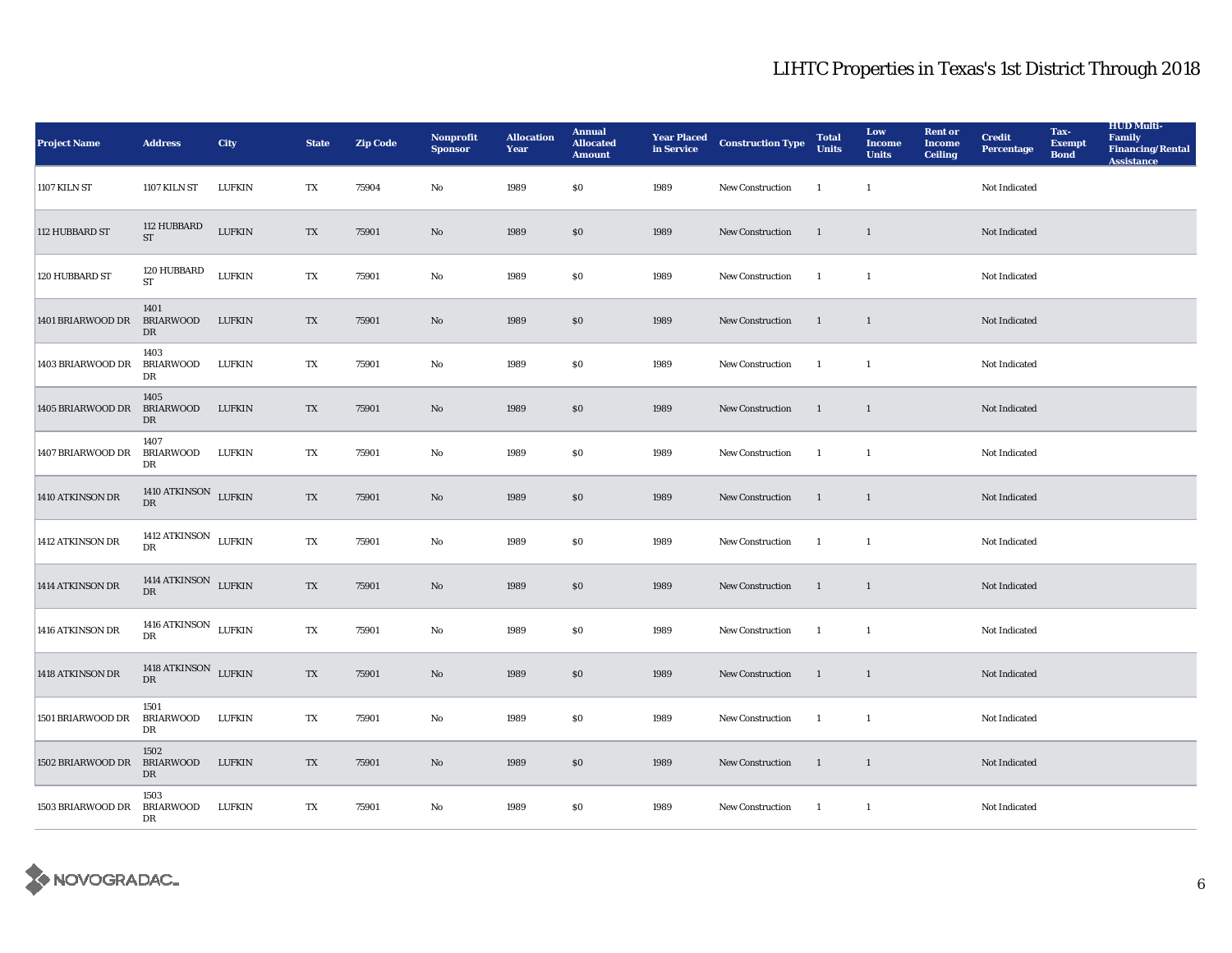| <b>Project Name</b>         | <b>Address</b>                                 | City          | <b>State</b> | <b>Zip Code</b> | <b>Nonprofit</b><br><b>Sponsor</b> | <b>Allocation</b><br>Year | <b>Annual</b><br><b>Allocated</b><br><b>Amount</b> | <b>Year Placed</b><br>in Service | <b>Construction Type</b> | <b>Total</b><br><b>Units</b> | Low<br><b>Income</b><br><b>Units</b> | <b>Rent or</b><br><b>Income</b><br><b>Ceiling</b> | <b>Credit</b><br><b>Percentage</b> | Tax-<br><b>Exempt</b><br><b>Bond</b> | <b>HUD Multi-</b><br><b>Family</b><br><b>Financing/Rental</b><br><b>Assistance</b> |
|-----------------------------|------------------------------------------------|---------------|--------------|-----------------|------------------------------------|---------------------------|----------------------------------------------------|----------------------------------|--------------------------|------------------------------|--------------------------------------|---------------------------------------------------|------------------------------------|--------------------------------------|------------------------------------------------------------------------------------|
| 1107 KILN ST                | <b>1107 KILN ST</b>                            | LUFKIN        | TX           | 75904           | No                                 | 1989                      | \$0                                                | 1989                             | New Construction         | $\mathbf{1}$                 | 1                                    |                                                   | Not Indicated                      |                                      |                                                                                    |
| 112 HUBBARD ST              | 112 HUBBARD<br><b>ST</b>                       | <b>LUFKIN</b> | TX           | 75901           | $\mathbf{No}$                      | 1989                      | \$0\$                                              | 1989                             | <b>New Construction</b>  | <sup>1</sup>                 | <sup>1</sup>                         |                                                   | Not Indicated                      |                                      |                                                                                    |
| 120 HUBBARD ST              | 120 HUBBARD<br><b>ST</b>                       | <b>LUFKIN</b> | TX           | 75901           | No                                 | 1989                      | \$0                                                | 1989                             | <b>New Construction</b>  | -1                           | -1                                   |                                                   | Not Indicated                      |                                      |                                                                                    |
| 1401 BRIARWOOD DR           | 1401<br><b>BRIARWOOD</b><br>DR                 | <b>LUFKIN</b> | TX           | 75901           | No                                 | 1989                      | \$0                                                | 1989                             | <b>New Construction</b>  | -1                           | <sup>1</sup>                         |                                                   | Not Indicated                      |                                      |                                                                                    |
| 1403 BRIARWOOD DR           | 1403<br><b>BRIARWOOD</b><br>DR                 | LUFKIN        | TX           | 75901           | $\mathbf{No}$                      | 1989                      | $\$0$                                              | 1989                             | <b>New Construction</b>  | -1                           | $\mathbf{1}$                         |                                                   | Not Indicated                      |                                      |                                                                                    |
| 1405 BRIARWOOD DR           | 1405<br><b>BRIARWOOD</b><br>DR                 | <b>LUFKIN</b> | TX           | 75901           | No                                 | 1989                      | \$0                                                | 1989                             | New Construction         | $\mathbf{1}$                 | <sup>1</sup>                         |                                                   | Not Indicated                      |                                      |                                                                                    |
| 1407 BRIARWOOD DR           | 1407<br>BRIARWOOD<br>DR                        | LUFKIN        | TX           | 75901           | No                                 | 1989                      | \$0                                                | 1989                             | New Construction         | $\overline{1}$               | -1                                   |                                                   | Not Indicated                      |                                      |                                                                                    |
| 1410 ATKINSON DR            | 1410 ATKINSON LUFKIN<br>$\mathbf{D}\mathbf{R}$ |               | TX           | 75901           | No                                 | 1989                      | \$0                                                | 1989                             | <b>New Construction</b>  | 1                            | <sup>1</sup>                         |                                                   | Not Indicated                      |                                      |                                                                                    |
| 1412 ATKINSON DR            | 1412 ATKINSON LUFKIN<br>DR                     |               | TX           | 75901           | No                                 | 1989                      | $\$0$                                              | 1989                             | <b>New Construction</b>  | $\overline{1}$               | -1                                   |                                                   | Not Indicated                      |                                      |                                                                                    |
| 1414 ATKINSON DR            | 1414 ATKINSON LUFKIN<br>DR                     |               | TX           | 75901           | No                                 | 1989                      | \$0                                                | 1989                             | New Construction         | -1                           | $\mathbf{1}$                         |                                                   | Not Indicated                      |                                      |                                                                                    |
| 1416 ATKINSON DR            | 1416 ATKINSON LUFKIN<br>DR                     |               | TX           | 75901           | $\mathbf{No}$                      | 1989                      | $\$0$                                              | 1989                             | New Construction         | $\overline{1}$               | $\mathbf{1}$                         |                                                   | Not Indicated                      |                                      |                                                                                    |
| 1418 ATKINSON DR            | 1418 ATKINSON LUFKIN<br>DR                     |               | TX           | 75901           | $\mathbf{N}\mathbf{o}$             | 1989                      | \$0\$                                              | 1989                             | New Construction         | <sup>1</sup>                 | $\mathbf{1}$                         |                                                   | Not Indicated                      |                                      |                                                                                    |
| 1501 BRIARWOOD DR           | 1501<br>BRIARWOOD<br>DR                        | LUFKIN        | TX           | 75901           | No                                 | 1989                      | \$0\$                                              | 1989                             | <b>New Construction</b>  | -1                           | <sup>1</sup>                         |                                                   | Not Indicated                      |                                      |                                                                                    |
| 1502 BRIARWOOD DR           | 1502<br><b>BRIARWOOD</b><br>DR                 | <b>LUFKIN</b> | TX           | 75901           | No                                 | 1989                      | $\$0$                                              | 1989                             | New Construction         | <sup>1</sup>                 | $\overline{1}$                       |                                                   | Not Indicated                      |                                      |                                                                                    |
| 1503 BRIARWOOD DR BRIARWOOD | 1503<br>DR                                     | <b>LUFKIN</b> | TX           | 75901           | No                                 | 1989                      | \$0\$                                              | 1989                             | <b>New Construction</b>  | $\overline{1}$               | -1                                   |                                                   | Not Indicated                      |                                      |                                                                                    |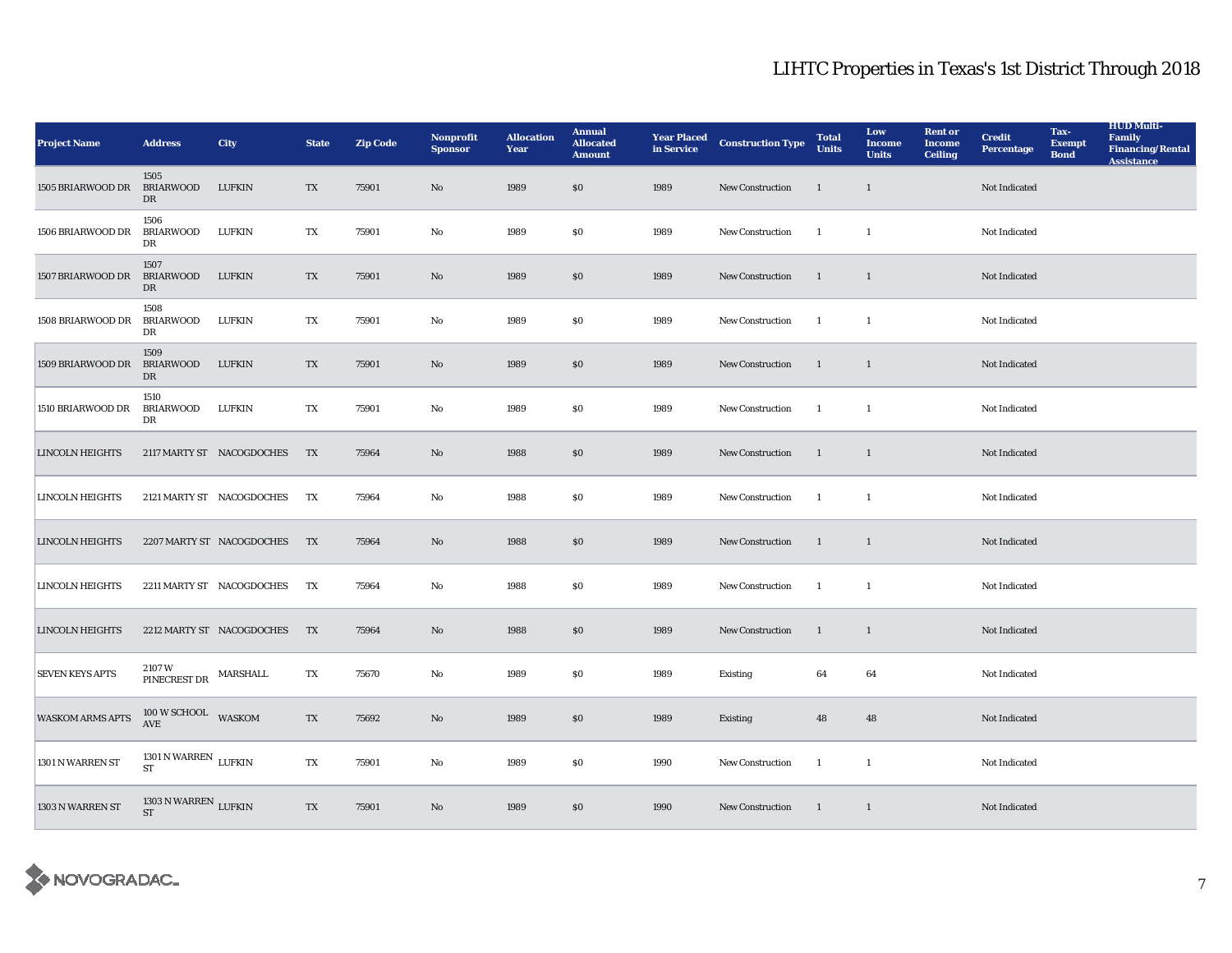| <b>Project Name</b>     | <b>Address</b>                               | City                      | <b>State</b> | <b>Zip Code</b> | <b>Nonprofit</b><br><b>Sponsor</b> | <b>Allocation</b><br>Year | <b>Annual</b><br><b>Allocated</b><br><b>Amount</b> | <b>Year Placed</b><br>in Service | <b>Construction Type</b> | <b>Total</b><br><b>Units</b> | Low<br><b>Income</b><br><b>Units</b> | <b>Rent or</b><br><b>Income</b><br><b>Ceiling</b> | <b>Credit</b><br><b>Percentage</b> | Tax-<br><b>Exempt</b><br><b>Bond</b> | <b>HUD Multi-</b><br><b>Family</b><br><b>Financing/Rental</b><br><b>Assistance</b> |
|-------------------------|----------------------------------------------|---------------------------|--------------|-----------------|------------------------------------|---------------------------|----------------------------------------------------|----------------------------------|--------------------------|------------------------------|--------------------------------------|---------------------------------------------------|------------------------------------|--------------------------------------|------------------------------------------------------------------------------------|
| 1505 BRIARWOOD DR       | 1505<br><b>BRIARWOOD</b><br>DR               | <b>LUFKIN</b>             | TX           | 75901           | $\rm No$                           | 1989                      | \$0                                                | 1989                             | <b>New Construction</b>  | $\mathbf{1}$                 | $\mathbf{1}$                         |                                                   | Not Indicated                      |                                      |                                                                                    |
| 1506 BRIARWOOD DR       | 1506<br><b>BRIARWOOD</b><br>DR               | <b>LUFKIN</b>             | TX           | 75901           | No                                 | 1989                      | \$0                                                | 1989                             | New Construction         | -1                           | $\overline{1}$                       |                                                   | Not Indicated                      |                                      |                                                                                    |
| 1507 BRIARWOOD DR       | 1507<br><b>BRIARWOOD</b><br>DR               | <b>LUFKIN</b>             | TX           | 75901           | $\rm No$                           | 1989                      | \$0                                                | 1989                             | New Construction         | $\mathbf{1}$                 | 1                                    |                                                   | Not Indicated                      |                                      |                                                                                    |
| 1508 BRIARWOOD DR       | 1508<br>BRIARWOOD<br>DR                      | LUFKIN                    | TX           | 75901           | No                                 | 1989                      | \$0                                                | 1989                             | <b>New Construction</b>  | -1                           | -1                                   |                                                   | <b>Not Indicated</b>               |                                      |                                                                                    |
| 1509 BRIARWOOD DR       | 1509<br><b>BRIARWOOD</b><br>DR               | <b>LUFKIN</b>             | TX           | 75901           | No                                 | 1989                      | \$0                                                | 1989                             | <b>New Construction</b>  | 1                            | 1                                    |                                                   | Not Indicated                      |                                      |                                                                                    |
| 1510 BRIARWOOD DR       | 1510<br>BRIARWOOD<br>DR                      | <b>LUFKIN</b>             | TX           | 75901           | No                                 | 1989                      | \$0                                                | 1989                             | <b>New Construction</b>  | <sup>1</sup>                 | <sup>1</sup>                         |                                                   | Not Indicated                      |                                      |                                                                                    |
| <b>LINCOLN HEIGHTS</b>  |                                              | 2117 MARTY ST NACOGDOCHES | <b>TX</b>    | 75964           | No                                 | 1988                      | \$0                                                | 1989                             | New Construction         | 1                            | $\mathbf{1}$                         |                                                   | Not Indicated                      |                                      |                                                                                    |
| <b>LINCOLN HEIGHTS</b>  |                                              | 2121 MARTY ST NACOGDOCHES | TX           | 75964           | No                                 | 1988                      | \$0                                                | 1989                             | <b>New Construction</b>  | $\mathbf{1}$                 | $\overline{1}$                       |                                                   | Not Indicated                      |                                      |                                                                                    |
| <b>LINCOLN HEIGHTS</b>  |                                              | 2207 MARTY ST NACOGDOCHES | <b>TX</b>    | 75964           | No                                 | 1988                      | S <sub>0</sub>                                     | 1989                             | <b>New Construction</b>  | <sup>1</sup>                 | $\mathbf{1}$                         |                                                   | Not Indicated                      |                                      |                                                                                    |
| <b>LINCOLN HEIGHTS</b>  |                                              | 2211 MARTY ST NACOGDOCHES | TX           | 75964           | No                                 | 1988                      | \$0                                                | 1989                             | New Construction         | -1                           | $\mathbf{1}$                         |                                                   | Not Indicated                      |                                      |                                                                                    |
| <b>LINCOLN HEIGHTS</b>  |                                              | 2212 MARTY ST NACOGDOCHES | TX           | 75964           | No                                 | 1988                      | S <sub>0</sub>                                     | 1989                             | <b>New Construction</b>  | <sup>1</sup>                 | $\mathbf{1}$                         |                                                   | Not Indicated                      |                                      |                                                                                    |
| <b>SEVEN KEYS APTS</b>  | 2107W<br>PINECREST DR MARSHALL               |                           | TX           | 75670           | No                                 | 1989                      | \$0                                                | 1989                             | Existing                 | 64                           | 64                                   |                                                   | Not Indicated                      |                                      |                                                                                    |
| <b>WASKOM ARMS APTS</b> | 100 W SCHOOL WASKOM<br><b>AVE</b>            |                           | TX           | 75692           | No                                 | 1989                      | \$0                                                | 1989                             | <b>Existing</b>          | 48                           | 48                                   |                                                   | Not Indicated                      |                                      |                                                                                    |
| 1301 N WARREN ST        | 1301 N WARREN $$\rm\,LUFKIN$$<br><b>ST</b>   |                           | TX           | 75901           | No                                 | 1989                      | \$0                                                | 1990                             | New Construction         | <sup>1</sup>                 | -1                                   |                                                   | Not Indicated                      |                                      |                                                                                    |
| 1303 N WARREN ST        | 1303 N WARREN $_{\rm \,LUFKIN}$<br><b>ST</b> |                           | TX           | 75901           | No                                 | 1989                      | \$0                                                | 1990                             | <b>New Construction</b>  | <sup>1</sup>                 | <sup>1</sup>                         |                                                   | Not Indicated                      |                                      |                                                                                    |

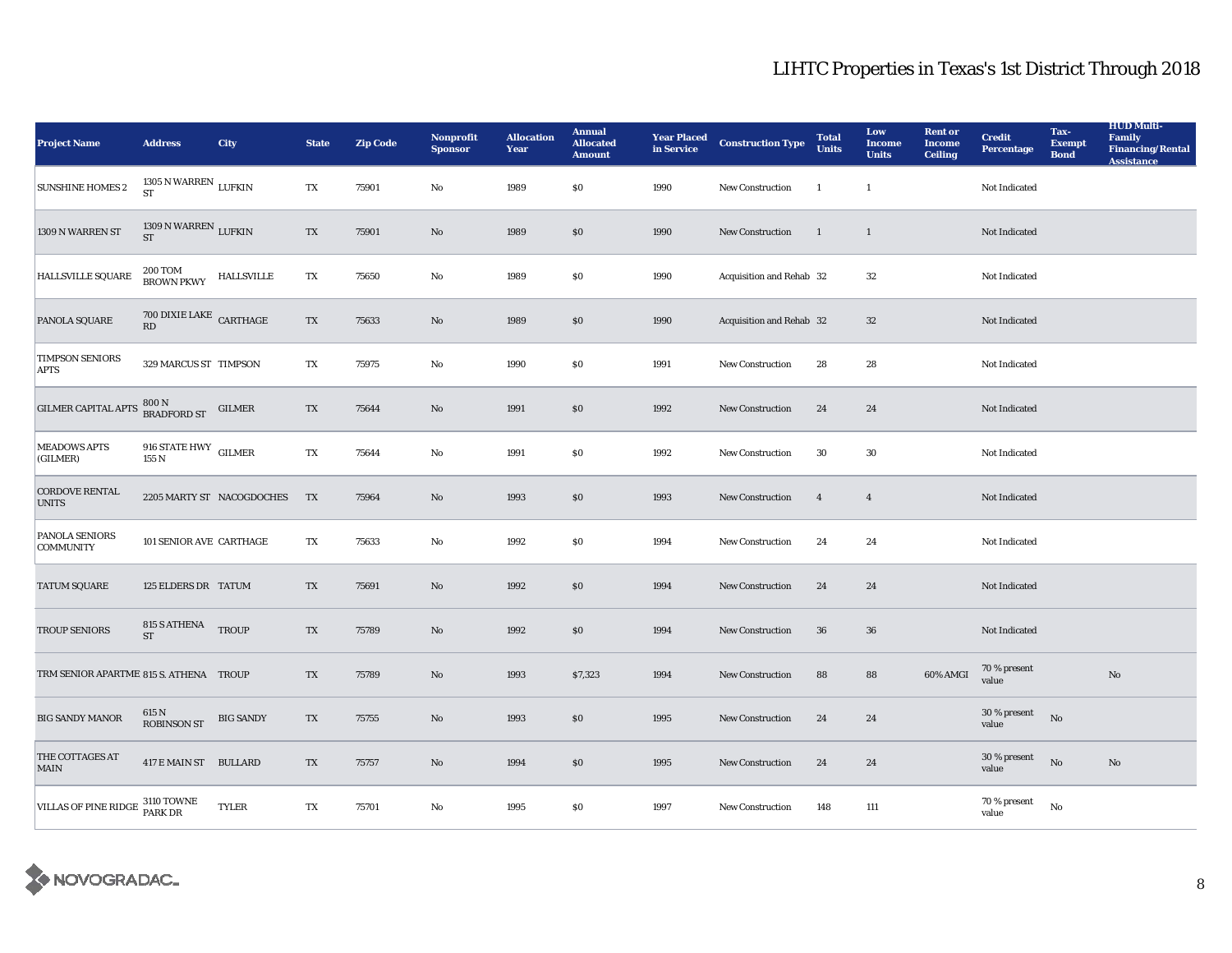| <b>Project Name</b>                    | <b>Address</b>                             | City                      | <b>State</b> | <b>Zip Code</b> | Nonprofit<br><b>Sponsor</b> | <b>Allocation</b><br>Year | <b>Annual</b><br><b>Allocated</b><br><b>Amount</b> | <b>Year Placed</b><br>in Service | <b>Construction Type</b> | <b>Total</b><br><b>Units</b> | Low<br><b>Income</b><br><b>Units</b> | <b>Rent or</b><br><b>Income</b><br><b>Ceiling</b> | <b>Credit</b><br><b>Percentage</b>         | Tax-<br><b>Exempt</b><br><b>Bond</b> | <b>HUD Multi-</b><br><b>Family</b><br><b>Financing/Rental</b><br><b>Assistance</b> |
|----------------------------------------|--------------------------------------------|---------------------------|--------------|-----------------|-----------------------------|---------------------------|----------------------------------------------------|----------------------------------|--------------------------|------------------------------|--------------------------------------|---------------------------------------------------|--------------------------------------------|--------------------------------------|------------------------------------------------------------------------------------|
| <b>SUNSHINE HOMES 2</b>                | 1305 N WARREN $_{\rm LUFKIN}$              |                           | TX           | 75901           | No                          | 1989                      | \$0                                                | 1990                             | New Construction         | $\overline{1}$               | $\mathbf{1}$                         |                                                   | Not Indicated                              |                                      |                                                                                    |
| 1309 N WARREN ST                       | 1309 N WARREN $_{\rm LUFKIN}$<br><b>ST</b> |                           | TX           | 75901           | No                          | 1989                      | \$0                                                | 1990                             | New Construction         | <sup>1</sup>                 | $\mathbf{1}$                         |                                                   | Not Indicated                              |                                      |                                                                                    |
| HALLSVILLE SQUARE                      | $200\,\mbox{Tom}$ HALLSVILLE BROWN PKWY    |                           | TX           | 75650           | $\mathbf{No}$               | 1989                      | $\$0$                                              | 1990                             | Acquisition and Rehab 32 |                              | 32                                   |                                                   | Not Indicated                              |                                      |                                                                                    |
| PANOLA SQUARE                          | $700$ DIXIE LAKE $\,$ CARTHAGE<br>RD       |                           | TX           | 75633           | No                          | 1989                      | \$0                                                | 1990                             | Acquisition and Rehab 32 |                              | 32                                   |                                                   | Not Indicated                              |                                      |                                                                                    |
| <b>TIMPSON SENIORS</b><br><b>APTS</b>  | 329 MARCUS ST TIMPSON                      |                           | TX           | 75975           | No                          | 1990                      | \$0                                                | 1991                             | <b>New Construction</b>  | 28                           | 28                                   |                                                   | <b>Not Indicated</b>                       |                                      |                                                                                    |
| <b>GILMER CAPITAL APTS</b>             | 800 N<br>BRADFORD ST                       | GILMER                    | TX           | 75644           | No                          | 1991                      | \$0                                                | 1992                             | New Construction         | 24                           | 24                                   |                                                   | Not Indicated                              |                                      |                                                                                    |
| <b>MEADOWS APTS</b><br>(GILMER)        | 916 STATE HWY GILMER<br>155 N              |                           | TX           | 75644           | No                          | 1991                      | \$0                                                | 1992                             | New Construction         | 30                           | 30                                   |                                                   | <b>Not Indicated</b>                       |                                      |                                                                                    |
| <b>CORDOVE RENTAL</b><br><b>UNITS</b>  |                                            | 2205 MARTY ST NACOGDOCHES | TX           | 75964           | $\rm No$                    | 1993                      | \$0                                                | 1993                             | New Construction         | $\overline{4}$               | $\overline{4}$                       |                                                   | Not Indicated                              |                                      |                                                                                    |
| PANOLA SENIORS<br><b>COMMUNITY</b>     | 101 SENIOR AVE CARTHAGE                    |                           | TX           | 75633           | No                          | 1992                      | \$0                                                | 1994                             | <b>New Construction</b>  | 24                           | 24                                   |                                                   | Not Indicated                              |                                      |                                                                                    |
| <b>TATUM SQUARE</b>                    | 125 ELDERS DR TATUM                        |                           | TX           | 75691           | No                          | 1992                      | \$0                                                | 1994                             | New Construction         | 24                           | 24                                   |                                                   | Not Indicated                              |                                      |                                                                                    |
| <b>TROUP SENIORS</b>                   | 815 S ATHENA<br><b>ST</b>                  | <b>TROUP</b>              | TX           | 75789           | No                          | 1992                      | \$0                                                | 1994                             | New Construction         | 36                           | 36                                   |                                                   | Not Indicated                              |                                      |                                                                                    |
| TRM SENIOR APARTME 815 S. ATHENA TROUP |                                            |                           | TX           | 75789           | No                          | 1993                      | \$7,323                                            | 1994                             | New Construction         | 88                           | 88                                   | 60% AMGI                                          | 70 % present<br>value                      |                                      | No                                                                                 |
| <b>BIG SANDY MANOR</b>                 | $615$ N<br>ROBINSON ST                     | <b>BIG SANDY</b>          | TX           | 75755           | $\rm No$                    | 1993                      | $\$0$                                              | 1995                             | New Construction         | 24                           | 24                                   |                                                   | $30$ % present $\rm ~\,$ No $\rm$<br>value |                                      |                                                                                    |
| THE COTTAGES AT<br><b>MAIN</b>         | 417 E MAIN ST BULLARD                      |                           | TX           | 75757           | No                          | 1994                      | \$0                                                | 1995                             | <b>New Construction</b>  | 24                           | 24                                   |                                                   | 30 % present<br>value                      | No                                   | No                                                                                 |
| VILLAS OF PINE RIDGE 3110 TOWNE        |                                            | <b>TYLER</b>              | TX           | 75701           | No                          | 1995                      | \$0                                                | 1997                             | New Construction         | 148                          | 111                                  |                                                   | 70 % present<br>value                      | No                                   |                                                                                    |